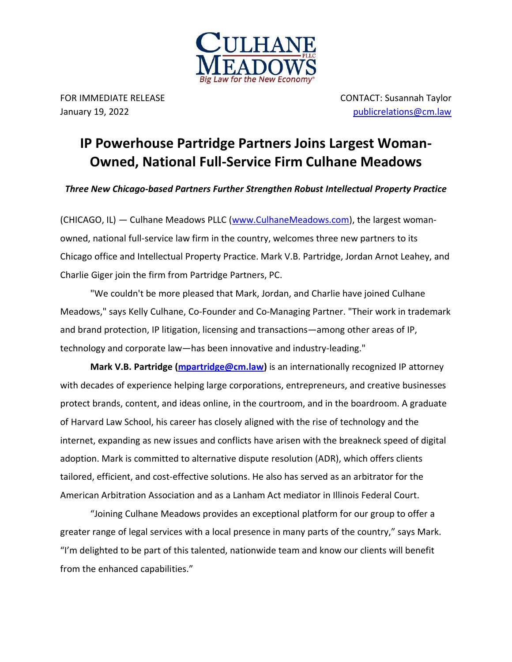

FOR IMMEDIATE RELEASE CONTACT: Susannah Taylor January 19, 2022 [publicrelations@cm.law](mailto:publicrelations@cm.law)

## **IP Powerhouse Partridge Partners Joins Largest Woman-Owned, National Full-Service Firm Culhane Meadows**

*Three New Chicago-based Partners Further Strengthen Robust Intellectual Property Practice*

(CHICAGO, IL) — Culhane Meadows PLLC [\(www.CulhaneMeadows.com\)](http://www.culhanemeadows.com/), the largest womanowned, national full-service law firm in the country, welcomes three new partners to its Chicago office and Intellectual Property Practice. Mark V.B. Partridge, Jordan Arnot Leahey, and Charlie Giger join the firm from Partridge Partners, PC.

"We couldn't be more pleased that Mark, Jordan, and Charlie have joined Culhane Meadows," says Kelly Culhane, Co-Founder and Co-Managing Partner. "Their work in trademark and brand protection, IP litigation, licensing and transactions—among other areas of IP, technology and corporate law—has been innovative and industry-leading."

**Mark V.B. Partridge [\(mpartridge@cm.law\)](mailto:mpartridge@cm.law)** is an internationally recognized IP attorney with decades of experience helping large corporations, entrepreneurs, and creative businesses protect brands, content, and ideas online, in the courtroom, and in the boardroom. A graduate of Harvard Law School, his career has closely aligned with the rise of technology and the internet, expanding as new issues and conflicts have arisen with the breakneck speed of digital adoption. Mark is committed to alternative dispute resolution (ADR), which offers clients tailored, efficient, and cost-effective solutions. He also has served as an arbitrator for the American Arbitration Association and as a Lanham Act mediator in Illinois Federal Court.

"Joining Culhane Meadows provides an exceptional platform for our group to offer a greater range of legal services with a local presence in many parts of the country," says Mark. "I'm delighted to be part of this talented, nationwide team and know our clients will benefit from the enhanced capabilities."